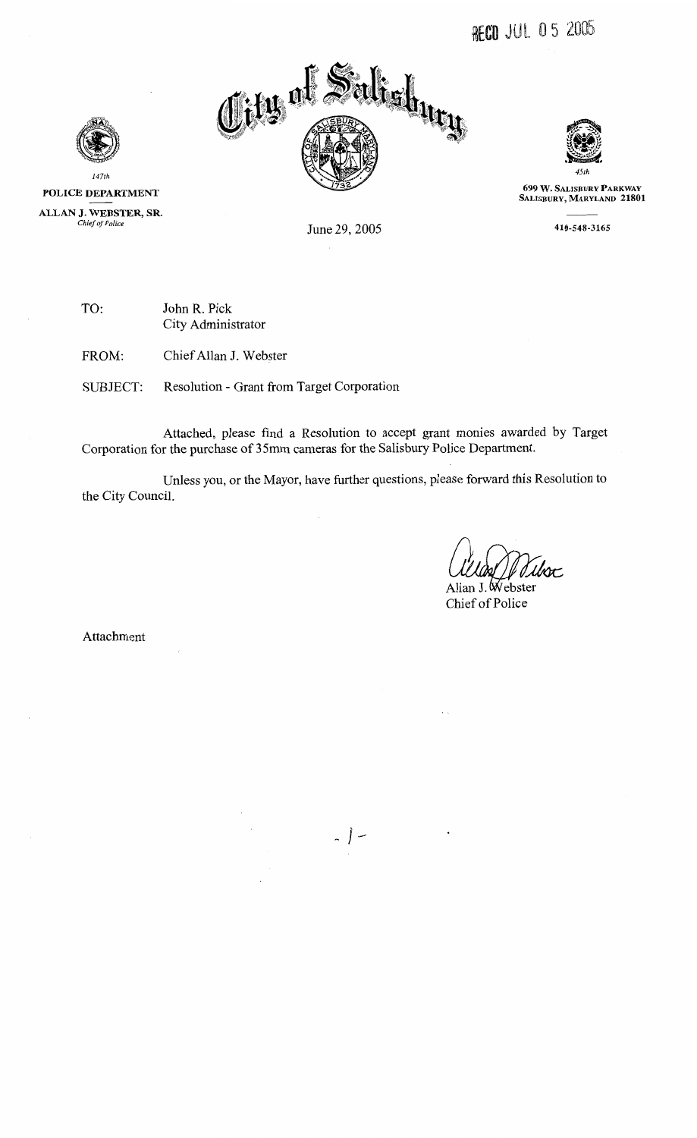



699 W. SALISBURY PARKWAY<br>SALISBURY, MARYLAND 21801

410-548-3165

**POLICE DEPARTMENT AND**<br>147th<br>NEBSTER, **ALLAN J. WEBSTER, SR.** 

June 29, 2005

TO: John R. Pick City Administrator

FROM: Chief Allan J. Webster

SUBJECT: Resolution - Grant from Target Corporation

Attached, please find a Resolution to accept grant monies awarded by Target Corporation for the purchase of **3** 5rnm cameras for the Salisbury Police Department.

Unless you, or the Mayor, have further questions, please forward this Resolution to the City Council.

lvoc

Allan J. Webster Chief of Police

Attachment

 $\bar{z}$ 

 $\frac{1}{2}$  | -